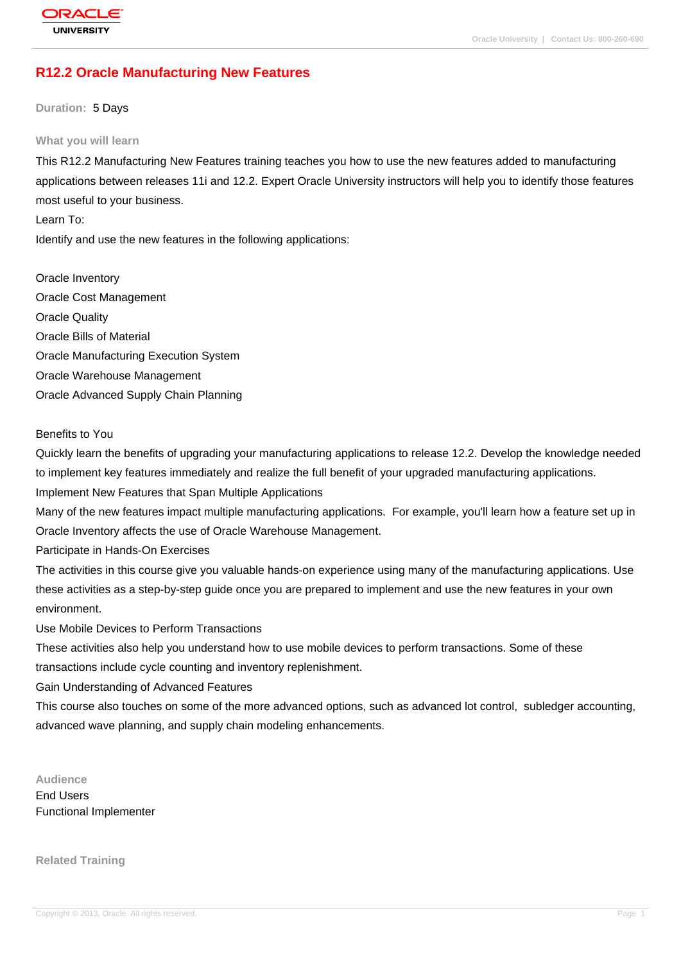# **[R12.2 Oracle M](http://education.oracle.com/pls/web_prod-plq-dad/db_pages.getpage?page_id=3)anufacturing New Features**

**Duration:** 5 Days

#### **What you will learn**

This R12.2 Manufacturing New Features training teaches you how to use the new features added to manufacturing applications between releases 11i and 12.2. Expert Oracle University instructors will help you to identify those features most useful to your business.

Learn To:

Identify and use the new features in the following applications:

Oracle Inventory Oracle Cost Management Oracle Quality Oracle Bills of Material Oracle Manufacturing Execution System Oracle Warehouse Management Oracle Advanced Supply Chain Planning

Benefits to You

Quickly learn the benefits of upgrading your manufacturing applications to release 12.2. Develop the knowledge needed to implement key features immediately and realize the full benefit of your upgraded manufacturing applications.

Implement New Features that Span Multiple Applications

Many of the new features impact multiple manufacturing applications. For example, you'll learn how a feature set up in Oracle Inventory affects the use of Oracle Warehouse Management.

Participate in Hands-On Exercises

The activities in this course give you valuable hands-on experience using many of the manufacturing applications. Use these activities as a step-by-step guide once you are prepared to implement and use the new features in your own environment.

Use Mobile Devices to Perform Transactions

These activities also help you understand how to use mobile devices to perform transactions. Some of these transactions include cycle counting and inventory replenishment.

Gain Understanding of Advanced Features

This course also touches on some of the more advanced options, such as advanced lot control, subledger accounting, advanced wave planning, and supply chain modeling enhancements.

**Audience**

End Users Functional Implementer

**Related Training**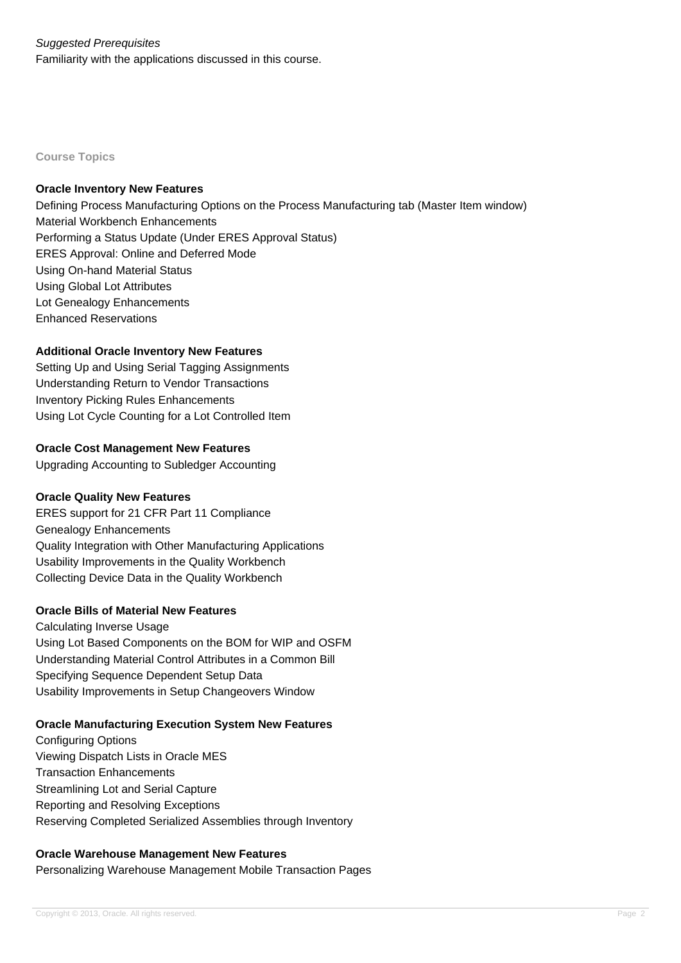## Suggested Prerequisites

Familiarity with the applications discussed in this course.

**Course Topics**

#### **Oracle Inventory New Features**

Defining Process Manufacturing Options on the Process Manufacturing tab (Master Item window) Material Workbench Enhancements Performing a Status Update (Under ERES Approval Status) ERES Approval: Online and Deferred Mode Using On-hand Material Status Using Global Lot Attributes Lot Genealogy Enhancements Enhanced Reservations

### **Additional Oracle Inventory New Features**

Setting Up and Using Serial Tagging Assignments Understanding Return to Vendor Transactions Inventory Picking Rules Enhancements Using Lot Cycle Counting for a Lot Controlled Item

### **Oracle Cost Management New Features**

Upgrading Accounting to Subledger Accounting

### **Oracle Quality New Features**

ERES support for 21 CFR Part 11 Compliance Genealogy Enhancements Quality Integration with Other Manufacturing Applications Usability Improvements in the Quality Workbench Collecting Device Data in the Quality Workbench

### **Oracle Bills of Material New Features**

Calculating Inverse Usage Using Lot Based Components on the BOM for WIP and OSFM Understanding Material Control Attributes in a Common Bill Specifying Sequence Dependent Setup Data Usability Improvements in Setup Changeovers Window

### **Oracle Manufacturing Execution System New Features**

Configuring Options Viewing Dispatch Lists in Oracle MES Transaction Enhancements Streamlining Lot and Serial Capture Reporting and Resolving Exceptions Reserving Completed Serialized Assemblies through Inventory

### **Oracle Warehouse Management New Features**

Personalizing Warehouse Management Mobile Transaction Pages